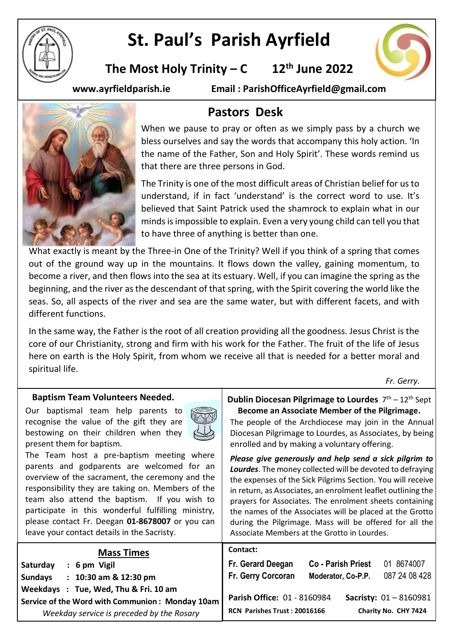

# **St. Paul's Parish Ayrfield**

**The Most Holy Trinity – C**  $12<sup>th</sup>$  June 2022



**www.ayrfieldparish.ie Email : ParishOfficeAyrfield@gmail.com**



## **Pastors Desk**

When we pause to pray or often as we simply pass by a church we bless ourselves and say the words that accompany this holy action. 'In the name of the Father, Son and Holy Spirit'. These words remind us that there are three persons in God.

The Trinity is one of the most difficult areas of Christian belief for us to understand, if in fact 'understand' is the correct word to use. It's believed that Saint Patrick used the shamrock to explain what in our minds is impossible to explain. Even a very young child can tell you that to have three of anything is better than one.

What exactly is meant by the Three-in One of the Trinity? Well if you think of a spring that comes out of the ground way up in the mountains. It flows down the valley, gaining momentum, to become a river, and then flows into the sea at its estuary. Well, if you can imagine the spring as the beginning, and the river as the descendant of that spring, with the Spirit covering the world like the seas. So, all aspects of the river and sea are the same water, but with different facets, and with different functions.

In the same way, the Father is the root of all creation providing all the goodness. Jesus Christ is the core of our Christianity, strong and firm with his work for the Father. The fruit of the life of Jesus here on earth is the Holy Spirit, from whom we receive all that is needed for a better moral and spiritual life.

*Fr. Gerry.*

| <b>Baptism Team Volunteers Needed.</b><br>Our baptismal team help parents to<br>t.<br>recognise the value of the gift they are<br>bestowing on their children when they<br>present them for baptism.<br>The Team host a pre-baptism meeting where<br>parents and godparents are welcomed for an<br>overview of the sacrament, the ceremony and the<br>responsibility they are taking on. Members of the<br>team also attend the baptism. If you wish to<br>participate in this wonderful fulfilling ministry,<br>please contact Fr. Deegan 01-8678007 or you can<br>leave your contact details in the Sacristy. | <b>Dublin Diocesan Pilgrimage to Lourdes</b> $7th - 12th$ Sept<br>Become an Associate Member of the Pilgrimage.<br>The people of the Archdiocese may join in the Annual<br>Diocesan Pilgrimage to Lourdes, as Associates, by being<br>enrolled and by making a voluntary offering.<br>Please give generously and help send a sick pilgrim to<br>Lourdes. The money collected will be devoted to defraying<br>the expenses of the Sick Pilgrims Section. You will receive<br>in return, as Associates, an enrolment leaflet outlining the<br>prayers for Associates. The enrolment sheets containing<br>the names of the Associates will be placed at the Grotto<br>during the Pilgrimage. Mass will be offered for all the<br>Associate Members at the Grotto in Lourdes. |
|-----------------------------------------------------------------------------------------------------------------------------------------------------------------------------------------------------------------------------------------------------------------------------------------------------------------------------------------------------------------------------------------------------------------------------------------------------------------------------------------------------------------------------------------------------------------------------------------------------------------|---------------------------------------------------------------------------------------------------------------------------------------------------------------------------------------------------------------------------------------------------------------------------------------------------------------------------------------------------------------------------------------------------------------------------------------------------------------------------------------------------------------------------------------------------------------------------------------------------------------------------------------------------------------------------------------------------------------------------------------------------------------------------|
| <b>Mass Times</b><br>$: 6 \text{ pm}$ Vigil<br>Saturday<br>$: 10:30$ am & 12:30 pm<br><b>Sundays</b><br>Weekdays : Tue, Wed, Thu & Fri. 10 am<br>Service of the Word with Communion: Monday 10am                                                                                                                                                                                                                                                                                                                                                                                                                | Contact:<br>01 8674007<br>Fr. Gerard Deegan<br><b>Co - Parish Priest</b><br>087 24 08 428<br>Fr. Gerry Corcoran<br>Moderator, Co-P.P.<br><b>Parish Office: 01 - 8160984</b><br><b>Sacristy: <math>01 - 8160981</math></b>                                                                                                                                                                                                                                                                                                                                                                                                                                                                                                                                                 |
| Weekday service is preceded by the Rosary                                                                                                                                                                                                                                                                                                                                                                                                                                                                                                                                                                       | Charity No. CHY 7424<br>RCN Parishes Trust: 20016166                                                                                                                                                                                                                                                                                                                                                                                                                                                                                                                                                                                                                                                                                                                      |